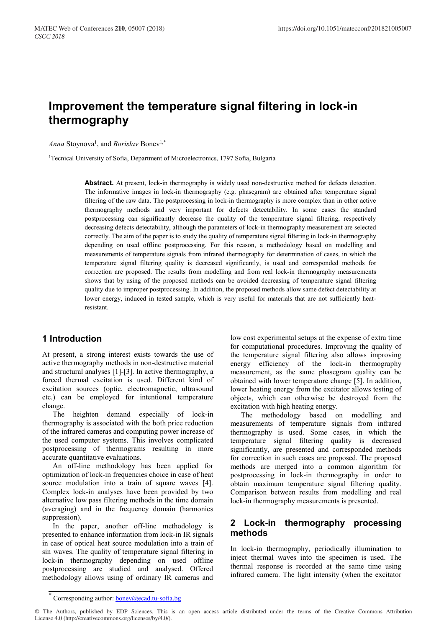# **Improvement the temperature signal filtering in lock-in thermography**

Anna Stoynova<sup>1</sup>, and *Borislav* Bonev<sup>1,\*</sup>

<sup>1</sup>Tecnical University of Sofia, Department of Microelectronics, 1797 Sofia, Bulgaria

Abstract. At present, lock-in thermography is widely used non-destructive method for defects detection. The informative images in lock-in thermography (e.g. phasegram) are obtained after temperature signal filtering of the raw data. The postprocessing in lock-in thermography is more complex than in other active thermography methods and very important for defects detectability. In some cases the standard postprocessing can significantly decrease the quality of the temperature signal filtering, respectively decreasing defects detectability, although the parameters of lock-in thermography measurement are selected correctly. The aim of the paper is to study the quality of temperature signal filtering in lock-in thermography depending on used offline postprocessing. For this reason, a methodology based on modelling and measurements of temperature signals from infrared thermography for determination of cases, in which the temperature signal filtering quality is decreased significantly, is used and corresponded methods for correction are proposed. The results from modelling and from real lock-in thermography measurements shows that by using of the proposed methods can be avoided decreasing of temperature signal filtering quality due to improper postprocessing. In addition, the proposed methods allow same defect detectability at lower energy, induced in tested sample, which is very useful for materials that are not sufficiently heatresistant.

# **1 Introduction**

At present, a strong interest exists towards the use of active thermography methods in non-destructive material and structural analyses [1]-[3]. In active thermography, a forced thermal excitation is used. Different kind of excitation sources (optic, electromagnetic, ultrasound etc.) can be employed for intentional temperature change.

The heighten demand especially of lock-in thermography is associated with the both price reduction of the infrared cameras and computing power increase of the used computer systems. This involves complicated postprocessing of thermograms resulting in more accurate quantitative evaluations.

An off-line methodology has been applied for optimization of lock-in frequencies choice in case of heat source modulation into a train of square waves [4]. Complex lock-in analyses have been provided by two alternative low pass filtering methods in the time domain (averaging) and in the frequency domain (harmonics suppression).

In the paper, another off-line methodology is presented to enhance information from lock-in IR signals in case of optical heat source modulation into a train of sin waves. The quality of temperature signal filtering in lock-in thermography depending on used offline postprocessing are studied and analysed. Offered methodology allows using of ordinary IR cameras and

low cost experimental setups at the expense of extra time for computational procedures. Improving the quality of the temperature signal filtering also allows improving energy efficiency of the lock-in thermography measurement, as the same phasegram quality can be obtained with lower temperature change [5]. In addition, lower heating energy from the excitator allows testing of objects, which can otherwise be destroyed from the excitation with high heating energy.

The methodology based on modelling and measurements of temperature signals from infrared thermography is used. Some cases, in which the temperature signal filtering quality is decreased significantly, are presented and corresponded methods for correction in such cases are proposed. The proposed methods are merged into a common algorithm for postprocessing in lock-in thermography in order to obtain maximum temperature signal filtering quality. Comparison between results from modelling and real lock-in thermography measurements is presented.

## **2 Lock-in thermography processing methods**

In lock-in thermography, periodically illumination to inject thermal waves into the specimen is used. The thermal response is recorded at the same time using infrared camera. The light intensity (when the excitator

© The Authors, published by EDP Sciences. This is an open access article distributed under the terms of the Creative Commons Attribution License 4.0 (http://creativecommons.org/licenses/by/4.0/).

<sup>\*</sup> Corresponding author: bonev@ecad.tu-sofia.bg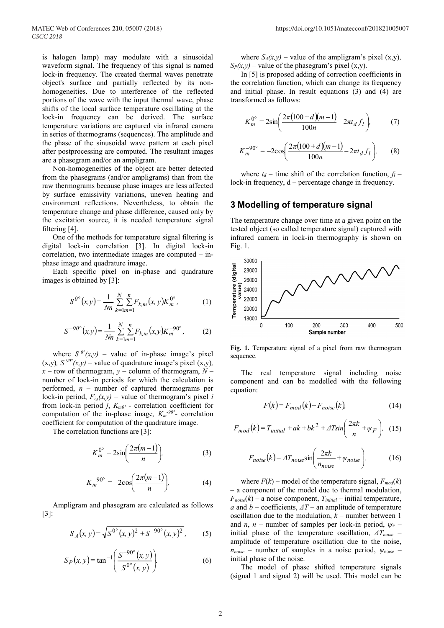is halogen lamp) may modulate with a sinusoidal waveform signal. The frequency of this signal is named lock-in frequency. The created thermal waves penetrate object's surface and partially reflected by its nonhomogeneities. Due to interference of the reflected portions of the wave with the input thermal wave, phase shifts of the local surface temperature oscillating at the lock-in frequency can be derived. The surface temperature variations are captured via infrared camera in series of thermograms (sequences). The amplitude and the phase of the sinusoidal wave pattern at each pixel after postprocessing are computed. The resultant images are a phasegram and/or an ampligram.

Non-homogeneities of the object are better detected from the phasegrams (and/or ampligrams) than from the raw thermograms because phase images are less affected by surface emissivity variations, uneven heating and environment reflections. Nevertheless, to obtain the temperature change and phase difference, caused only by the excitation source, it is needed temperature signal filtering [4].

One of the methods for temperature signal filtering is digital lock-in correlation [3]. In digital lock-in correlation, two intermediate images are computed – inphase image and quadrature image.

Each specific pixel on in-phase and quadrature images is obtained by [3]:

$$
S^{0^{\circ}}(x,y) = \frac{1}{Nn} \sum_{k=1}^{N} \sum_{m=1}^{n} F_{k,m}(x,y) K_{m}^{0^{\circ}},
$$
 (1)

$$
S^{-90^{\circ}}(x,y) = \frac{1}{Nn} \sum_{k=1}^{N} \sum_{m=1}^{n} F_{k,m}(x,y) K_m^{-90^{\circ}},
$$
 (2)

where  $S^{0}$ ° $(x,y)$  – value of in-phase image's pixel  $(x,y)$ *, S* <sup>90°</sup> $(x,y)$  – value of quadrature image's pixel  $(x,y)$ *, x –* row of thermogram, *y –* column of thermogram, *N –* number of lock-in periods for which the calculation is performed, *n –* number of captured thermograms per lock-in period,  $F_{i,j}(x,y)$  – value of thermogram's pixel *i* from lock-in period *j*, *Km0° -* correlation coefficient for computation of the in-phase image,  $K_m^{-90^\circ}$ - correlation coefficient for computation of the quadrature image*.*

The correlation functions are [3]:

$$
K_m^{0^{\circ}} = 2\sin\left(\frac{2\pi(m-1)}{n}\right),\tag{3}
$$

$$
K_m^{-90^{\circ}} = -2\cos\left(\frac{2\pi(m-1)}{n}\right),\tag{4}
$$

Ampligram and phasegram are calculated as follows [3]:

$$
S_A(x, y) = \sqrt{S^{0^{\circ}}(x, y)^2 + S^{-90^{\circ}}(x, y)^2},
$$
 (5)

$$
S_P(x, y) = \tan^{-1} \left( \frac{S^{-90^{\circ}}(x, y)}{S^{0^{\circ}}(x, y)} \right).
$$
 (6)

where  $S_A(x, y)$  – value of the ampligram's pixel (x,y),  $S_P(x, y)$  – value of the phasegram's pixel (x,y).

In [5] is proposed adding of correction coefficients in the correlation function, which can change its frequency and initial phase. In result equations (3) and (4) are transformed as follows:

$$
K_m^{0^{\circ}} = 2\sin\left(\frac{2\pi(100 + d)(m - 1)}{100n} - 2\pi t_d f_l\right),\tag{7}
$$

$$
K_m^{-90^\circ} = -2\cos\left(\frac{2\pi(100+d)(m-1)}{100n} - 2\pi t_d f_l\right),\tag{8}
$$

where  $t_d$  – time shift of the correlation function,  $f_l$  – lock-in frequency, d – percentage change in frequency.

## **3 Modelling of temperature signal**

The temperature change over time at a given point on the tested object (so called temperature signal) captured with infrared camera in lock-in thermography is shown on Fig. 1.



Fig. 1. Temperature signal of a pixel from raw thermogram sequence.

The real temperature signal including noise component and can be modelled with the following equation:

$$
F(k) = F_{mod}(k) + F_{noise}(k).
$$
 (14)

$$
F_{mod}(k) = T_{initial} + ak + bk^2 + \Delta T sin\left(\frac{2\pi k}{n} + \psi_F\right), \quad (15)
$$

$$
F_{noise}(k) = \Delta T_{noise} \sin\left(\frac{2\pi k}{n_{noise}} + \psi_{noise}\right),\tag{16}
$$

where  $F(k)$  – model of the temperature signal,  $F_{mod}(k)$ – a component of the model due to thermal modulation,  $F_{noise}(k)$  – a noise component,  $T_{initial}$  – initial temperature, *a* and *b* – coefficients, *ΔT* – an amplitude of temperature oscillation due to the modulation,  $k$  – number between 1 and *n*, *n* – number of samples per lock-in period,  $\psi_F$  – initial phase of the temperature oscillation, *ΔTnoise* – amplitude of temperature oscillation due to the noise,  $n_{noise}$  – number of samples in a noise period,  $\psi_{noise}$  – initial phase of the noise.

The model of phase shifted temperature signals (signal 1 and signal 2) will be used. This model can be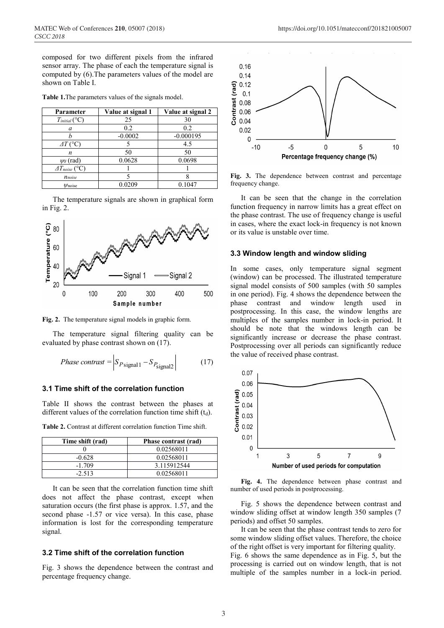composed for two different pixels from the infrared sensor array. The phase of each the temperature signal is computed by (6).The parameters values of the model are shown on Table I.

| Parameter                  | Value at signal 1 | Value at signal 2 |
|----------------------------|-------------------|-------------------|
| $T_{initial}$ (°C)         | 25                | 30                |
| a                          | 0.2               | 0.2               |
|                            | $-0.0002$         | $-0.000195$       |
| $\Delta T$ (°C)            |                   | 4.5               |
| n                          | 50                | 50                |
| $\psi$ F (rad)             | 0.0628            | 0.0698            |
| $\varDelta T_{noise}$ (°C) |                   |                   |
| $n_{noise}$                |                   |                   |
| $\psi$ noise               | 0.0209            | 0.1047            |

**Table 1.**The parameters values of the signals model.

The temperature signals are shown in graphical form in Fig. 2.



**Fig. 2.** The temperature signal models in graphic form.

The temperature signal filtering quality can be evaluated by phase contrast shown on (17).

$$
Phase \; contrast = \left| S_{P \text{signal 1}} - S_{P \text{signal 2}} \right| \tag{17}
$$

#### **3.1 Time shift of the correlation function**

Table II shows the contrast between the phases at different values of the correlation function time shift  $(t_d)$ .

| Time shift (rad) | Phase contrast (rad) |
|------------------|----------------------|
|                  | 0.02568011           |
| $-0.628$         | 0.02568011           |
| $-1.709$         | 3.115912544          |
| $-2.513$         | 0.02568011           |

**Table 2.** Contrast at different correlation function Time shift.

It can be seen that the correlation function time shift does not affect the phase contrast, except when saturation occurs (the first phase is approx. 1.57, and the second phase -1.57 or vice versa). In this case, phase information is lost for the corresponding temperature signal.

#### **3.2 Time shift of the correlation function**

Fig. 3 shows the dependence between the contrast and percentage frequency change.



**Fig. 3.** The dependence between contrast and percentage frequency change.

It can be seen that the change in the correlation function frequency in narrow limits has a great effect on the phase contrast. The use of frequency change is useful in cases, where the exact lock-in frequency is not known or its value is unstable over time.

#### **3.3 Window length and window sliding**

In some cases, only temperature signal segment (window) can be processed. The illustrated temperature signal model consists of 500 samples (with 50 samples in one period). Fig. 4 shows the dependence between the phase contrast and window length used in postprocessing. In this case, the window lengths are multiples of the samples number in lock-in period. It should be note that the windows length can be significantly increase or decrease the phase contrast. Postprocessing over all periods can significantly reduce the value of received phase contrast.



**Fig. 4.** The dependence between phase contrast and number of used periods in postprocessing.

Fig. 5 shows the dependence between contrast and window sliding offset at window length 350 samples (7 periods) and offset 50 samples.

It can be seen that the phase contrast tends to zero for some window sliding offset values. Therefore, the choice of the right offset is very important for filtering quality.

Fig. 6 shows the same dependence as in Fig. 5, but the processing is carried out on window length, that is not multiple of the samples number in a lock-in period.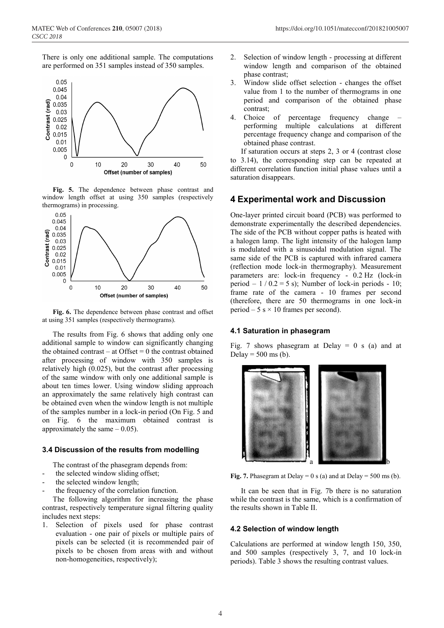There is only one additional sample. The computations are performed on 351 samples instead of 350 samples.



**Fig. 5.** The dependence between phase contrast and window length offset at using 350 samples (respectively thermograms) in processing.



**Fig. 6.** The dependence between phase contrast and offset at using 351 samples (respectively thermograms).

The results from Fig. 6 shows that adding only one additional sample to window can significantly changing the obtained contrast – at Offset  $= 0$  the contrast obtained after processing of window with 350 samples is relatively high (0.025), but the contrast after processing of the same window with only one additional sample is about ten times lower. Using window sliding approach an approximately the same relatively high contrast can be obtained even when the window length is not multiple of the samples number in a lock-in period (On Fig. 5 and on Fig. 6 the maximum obtained contrast is approximately the same  $-0.05$ ).

#### **3.4 Discussion of the results from modelling**

The contrast of the phasegram depends from:

- the selected window sliding offset;
- the selected window length;
- the frequency of the correlation function.

The following algorithm for increasing the phase contrast, respectively temperature signal filtering quality includes next steps:

1. Selection of pixels used for phase contrast evaluation - one pair of pixels or multiple pairs of pixels can be selected (it is recommended pair of pixels to be chosen from areas with and without non-homogeneities, respectively);

- 2. Selection of window length processing at different window length and comparison of the obtained phase contrast;
- 3. Window slide offset selection changes the offset value from 1 to the number of thermograms in one period and comparison of the obtained phase contrast;
- 4. Choice of percentage frequency change performing multiple calculations at different percentage frequency change and comparison of the obtained phase contrast.

If saturation occurs at steps 2, 3 or 4 (contrast close to 3.14), the corresponding step can be repeated at different correlation function initial phase values until a saturation disappears.

## **4 Experimental work and Discussion**

One-layer printed circuit board (PCB) was performed to demonstrate experimentally the described dependencies. The side of the PCB without copper paths is heated with a halogen lamp. The light intensity of the halogen lamp is modulated with a sinusoidal modulation signal. The same side of the PCB is captured with infrared camera (reflection mode lock-in thermography). Measurement parameters are: lock-in frequency - 0.2 Hz (lock-in period  $-1/0.2 = 5$  s); Number of lock-in periods - 10; frame rate of the camera - 10 frames per second (therefore, there are 50 thermograms in one lock-in period – 5 s  $\times$  10 frames per second).

#### **4.1 Saturation in phasegram**

Fig. 7 shows phasegram at Delay  $= 0$  s (a) and at Delay =  $500$  ms (b).



**Fig. 7.** Phasegram at Delay =  $0 s$  (a) and at Delay =  $500 ms$  (b).

It can be seen that in Fig. 7b there is no saturation while the contrast is the same, which is a confirmation of the results shown in Table II.

#### **4.2 Selection of window length**

Calculations are performed at window length 150, 350, and 500 samples (respectively 3, 7, and 10 lock-in periods). Table 3 shows the resulting contrast values.